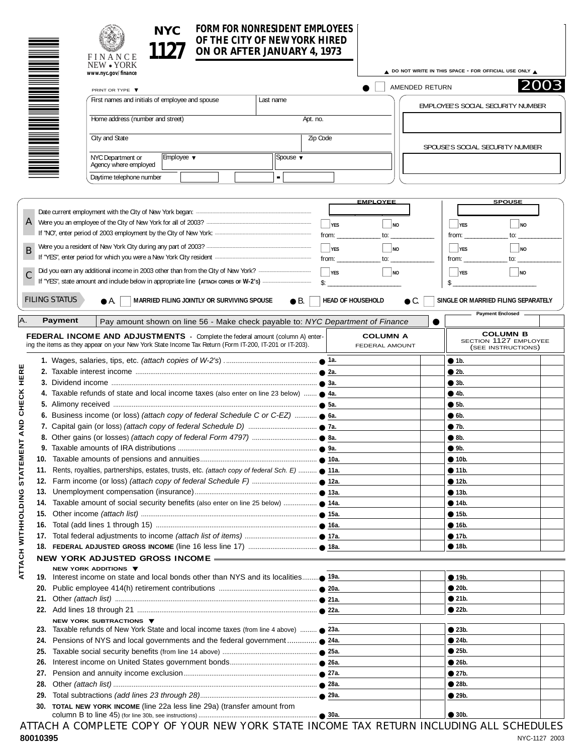| OF THE CITY OF NEW YORK HIRED | NYC. | FORM FOR NONRESIDENT EMPLOYEES [ |  |
|-------------------------------|------|----------------------------------|--|
|                               | 1127 | ON OR AFTER JANUARY 4, 1973      |  |

|                                              | OF THE CITY OF NEW YORK HIRED<br>ON OR AFTER JANUARY 4, 1973<br>FINANCE<br>NEW • YORK                                                                                                    |                             |                          |                                   |                                                                |           |
|----------------------------------------------|------------------------------------------------------------------------------------------------------------------------------------------------------------------------------------------|-----------------------------|--------------------------|-----------------------------------|----------------------------------------------------------------|-----------|
|                                              | www.nyc.gov/finance                                                                                                                                                                      |                             |                          |                                   | A DO NOT WRITE IN THIS SPACE - FOR OFFICIAL USE ONLY A         | 2003      |
|                                              | PRINT OR TYPE ▼                                                                                                                                                                          |                             |                          | AMENDED RETURN                    |                                                                |           |
|                                              | First names and initials of employee and spouse                                                                                                                                          | Last name                   |                          |                                   | EMPLOYEE'S SOCIAL SECURITY NUMBER                              |           |
|                                              | Home address (number and street)                                                                                                                                                         |                             | Apt. no.                 |                                   |                                                                |           |
|                                              | City and State                                                                                                                                                                           |                             | Zip Code                 |                                   | SPOUSE'S SOCIAL SECURITY NUMBER                                |           |
|                                              | NYC Department or<br>Employee ▼<br>Agency where employed                                                                                                                                 | Spouse $\blacktriangledown$ |                          |                                   |                                                                |           |
|                                              | Daytime telephone number                                                                                                                                                                 |                             |                          |                                   |                                                                |           |
|                                              |                                                                                                                                                                                          |                             |                          | <b>EMPLOYEE</b>                   | <b>SPOUSE</b>                                                  |           |
|                                              |                                                                                                                                                                                          |                             |                          |                                   |                                                                |           |
| A                                            |                                                                                                                                                                                          |                             | $\vert \ \vert$ YES      | $\overline{\phantom{a}}$ NO       | $\Box$ YES                                                     | $\Box$ NO |
|                                              |                                                                                                                                                                                          |                             | from:                    | $\mathsf{to}$ :                   | from:                                                          | to:       |
| B                                            |                                                                                                                                                                                          |                             | $\Box$ YES               | $\Box$ NO                         | $\Box$ yes                                                     | $\Box$ NO |
|                                              |                                                                                                                                                                                          |                             | from:                    | to:                               | from:<br>to:                                                   |           |
|                                              |                                                                                                                                                                                          |                             | $\Box$ YES               | $\Box$ NO                         | $\Box$ YES                                                     | $\Box$ NO |
|                                              |                                                                                                                                                                                          |                             | $\mathsf{S}$ :           |                                   | \$                                                             |           |
| <b>FILING STATUS</b><br>Α.<br><b>Payment</b> | MARRIED FILING JOINTLY OR SURVIVING SPOUSE<br>● A.<br>Pay amount shown on line 56 - Make check payable to: NYC Department of Finance                                                     | $\bullet$ B.                | <b>HEAD OF HOUSEHOLD</b> | $\bullet$ C.                      | SINGLE OR MARRIED FILING SEPARATELY<br><b>Payment Enclosed</b> |           |
|                                              | FEDERAL INCOME AND ADJUSTMENTS - Complete the federal amount (column A) enter-<br>ing the items as they appear on your New York State Income Tax Return (Form IT-200, IT-201 or IT-203). |                             |                          | <b>COLUMN A</b><br>FEDERAL AMOUNT | <b>COLUMN B</b><br>SECTION 1127 EMPLOYEE<br>(SEE INSTRUCTIONS) |           |
|                                              |                                                                                                                                                                                          |                             |                          |                                   | • 1b.                                                          |           |
|                                              |                                                                                                                                                                                          |                             |                          |                                   | • 2b.                                                          |           |
|                                              |                                                                                                                                                                                          |                             |                          |                                   | •3b.                                                           |           |
|                                              | 4. Taxable refunds of state and local income taxes (also enter on line 23 below)  • 4a.                                                                                                  |                             |                          |                                   | • 4b.                                                          |           |
|                                              |                                                                                                                                                                                          |                             |                          |                                   | •5b.                                                           |           |
|                                              | 6. Business income (or loss) (attach copy of federal Schedule C or C-EZ) $\bullet$ 6a.                                                                                                   |                             |                          |                                   |                                                                |           |
|                                              |                                                                                                                                                                                          |                             |                          |                                   | • 6b.<br>• 7b.                                                 |           |
|                                              |                                                                                                                                                                                          |                             |                          |                                   | $\bullet$ 8b.                                                  |           |
|                                              |                                                                                                                                                                                          |                             |                          |                                   |                                                                |           |
|                                              |                                                                                                                                                                                          |                             |                          |                                   | •9b.                                                           |           |
|                                              |                                                                                                                                                                                          |                             |                          |                                   | • 10b.                                                         |           |
|                                              | 11. Rents, royalties, partnerships, estates, trusts, etc. (attach copy of federal Sch. E)  11a.                                                                                          |                             |                          |                                   | • 11b.                                                         |           |
|                                              |                                                                                                                                                                                          |                             |                          |                                   | • 12b.                                                         |           |
|                                              |                                                                                                                                                                                          |                             |                          |                                   | • 13b.<br>• 14b.                                               |           |
|                                              |                                                                                                                                                                                          |                             |                          |                                   |                                                                |           |
|                                              |                                                                                                                                                                                          |                             |                          |                                   | • 15b.<br>• 16b.                                               |           |
|                                              |                                                                                                                                                                                          |                             |                          |                                   | • 17b.                                                         |           |
|                                              |                                                                                                                                                                                          |                             |                          |                                   | • 18b.                                                         |           |
|                                              |                                                                                                                                                                                          |                             |                          |                                   |                                                                |           |
|                                              | NEW YORK ADJUSTED GROSS INCOME -<br>NEW YORK ADDITIONS ▼                                                                                                                                 |                             |                          |                                   |                                                                |           |
|                                              |                                                                                                                                                                                          |                             |                          |                                   | • 19b.                                                         |           |
|                                              |                                                                                                                                                                                          |                             |                          |                                   | • 20b.                                                         |           |
|                                              |                                                                                                                                                                                          |                             |                          |                                   | • 21b.                                                         |           |
|                                              |                                                                                                                                                                                          |                             |                          |                                   | • 22b.                                                         |           |
|                                              | NEW YORK SUBTRACTIONS ▼                                                                                                                                                                  |                             |                          |                                   |                                                                |           |
|                                              | 23. Taxable refunds of New York State and local income taxes (from line 4 above)  • 23a.                                                                                                 |                             |                          |                                   | • 23b.                                                         |           |
|                                              |                                                                                                                                                                                          |                             |                          |                                   | • 24b.                                                         |           |
|                                              |                                                                                                                                                                                          |                             |                          |                                   | • 25b.                                                         |           |
| 26.                                          |                                                                                                                                                                                          |                             |                          |                                   | • 26b.                                                         |           |
| 27.                                          |                                                                                                                                                                                          |                             |                          |                                   | •27b.                                                          |           |
| 28.                                          |                                                                                                                                                                                          |                             |                          |                                   | • 28b.                                                         |           |
|                                              |                                                                                                                                                                                          |                             |                          |                                   | • 29b.                                                         |           |
|                                              | 30. TOTAL NEW YORK INCOME (line 22a less line 29a) (transfer amount from                                                                                                                 |                             |                          |                                   | • 30b.                                                         |           |
|                                              | ATTACH A COMPLETE COPY OF YOUR NEW YORK STATE INCOME TAX RETURN INCLUDING ALL SCHEDULES                                                                                                  |                             |                          |                                   |                                                                |           |

column B to line 45) (for line 30b, see instructions) ................................................................ ● **80010395** NYC-1127 2003